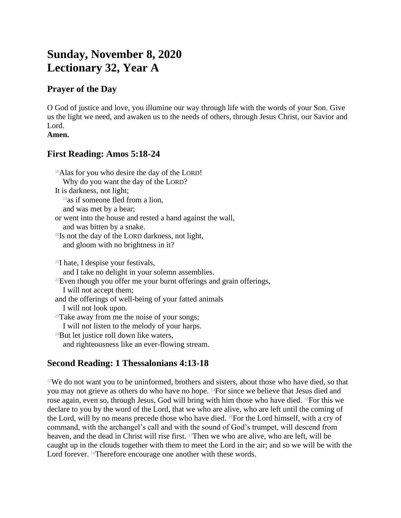# **Sunday, November 8, 2020 Lectionary 32, Year A**

## **Prayer of the Day**

O God of justice and love, you illumine our way through life with the words of your Son. Give us the light we need, and awaken us to the needs of others, through Jesus Christ, our Savior and Lord.

#### **Amen.**

### **First Reading: Amos 5:18-24**

| <sup>18</sup> Alas for you who desire the day of the LORD!<br>Why do you want the day of the LORD? |
|----------------------------------------------------------------------------------------------------|
| It is darkness, not light;                                                                         |
| <sup>19</sup> as if someone fled from a lion,                                                      |
| and was met by a bear;                                                                             |
| or went into the house and rested a hand against the wall,                                         |
| and was bitten by a snake.                                                                         |
| <sup>20</sup> Is not the day of the LORD darkness, not light,                                      |
| and gloom with no brightness in it?                                                                |
|                                                                                                    |
| <sup>21</sup> I hate, I despise your festivals,                                                    |
| and I take no delight in your solemn assemblies.                                                   |
| <sup>22</sup> Even though you offer me your burnt offerings and grain offerings,                   |
| I will not accept them;                                                                            |
| and the offerings of well-being of your fatted animals                                             |
| I will not look upon.                                                                              |
| <sup>23</sup> Take away from me the noise of your songs;                                           |
| I will not listen to the melody of your harps.                                                     |
| <sup>24</sup> But let justice roll down like waters,                                               |
| and righteousness like an ever-flowing stream.                                                     |
|                                                                                                    |

### **Second Reading: 1 Thessalonians 4:13-18**

<sup>13</sup>We do not want you to be uninformed, brothers and sisters, about those who have died, so that you may not grieve as others do who have no hope. 14For since we believe that Jesus died and rose again, even so, through Jesus, God will bring with him those who have died. 15For this we declare to you by the word of the Lord, that we who are alive, who are left until the coming of the Lord, will by no means precede those who have died. 16For the Lord himself, with a cry of command, with the archangel's call and with the sound of God's trumpet, will descend from heaven, and the dead in Christ will rise first. <sup>17</sup>Then we who are alive, who are left, will be caught up in the clouds together with them to meet the Lord in the air; and so we will be with the Lord forever. <sup>18</sup>Therefore encourage one another with these words.